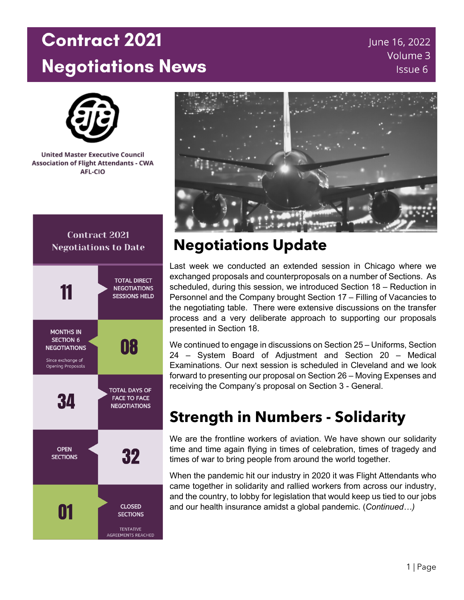# **Contract 2021 Negotiations News**

June 16, 2022 Volume 3 Issue 6



**United Master Executive Council Association of Flight Attendants - CWA** AFL-CIO



#### **Contract 2021 Negotiations to Date**



### **Negotiations Update**

Last week we conducted an extended session in Chicago where we exchanged proposals and counterproposals on a number of Sections. As scheduled, during this session, we introduced Section 18 – Reduction in Personnel and the Company brought Section 17 – Filling of Vacancies to the negotiating table. There were extensive discussions on the transfer process and a very deliberate approach to supporting our proposals presented in Section 18.

We continued to engage in discussions on Section 25 – Uniforms, Section 24 – System Board of Adjustment and Section 20 – Medical Examinations. Our next session is scheduled in Cleveland and we look forward to presenting our proposal on Section 26 – Moving Expenses and receiving the Company's proposal on Section 3 - General.

### **Strength in Numbers - Solidarity**

We are the frontline workers of aviation. We have shown our solidarity time and time again flying in times of celebration, times of tragedy and times of war to bring people from around the world together.

When the pandemic hit our industry in 2020 it was Flight Attendants who came together in solidarity and rallied workers from across our industry, and the country, to lobby for legislation that would keep us tied to our jobs and our health insurance amidst a global pandemic. (*Continued…)*